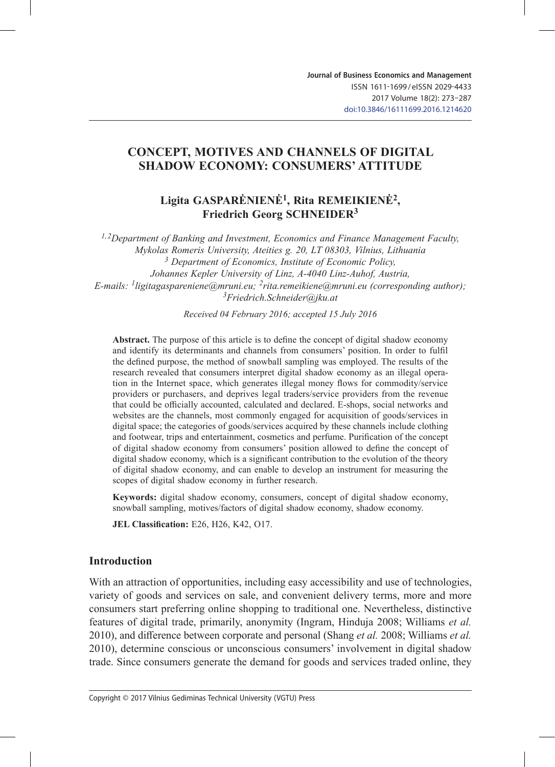# **CONCEPT, MOTIVES AND CHANNELS OF DIGITAL SHADOW ECONOMY: CONSUMERS' ATTITUDE**

# **Ligita GASPARĖNIENĖ1, Rita REMEIKIENĖ2, Friedrich Georg SCHNEIDER<sup>3</sup>**

*1,2Department of Banking and Investment, Economics and Finance Management Faculty, Mykolas Romeris University, Ateities g. 20, LT 08303, Vilnius, Lithuania 3 Department of Economics, Institute of Economic Policy, Johannes Kepler University of Linz, A-4040 Linz-Auhof, Austria, E-mails: 1ligitagaspareniene@mruni.eu; 2rita.remeikiene@mruni.eu (corresponding author); 3Friedrich.Schneider@jku.at* 

*Received 04 February 2016; accepted 15 July 2016*

**Abstract.** The purpose of this article is to define the concept of digital shadow economy and identify its determinants and channels from consumers' position. In order to fulfil the defined purpose, the method of snowball sampling was employed. The results of the research revealed that consumers interpret digital shadow economy as an illegal operation in the Internet space, which generates illegal money flows for commodity/service providers or purchasers, and deprives legal traders/service providers from the revenue that could be officially accounted, calculated and declared. E-shops, social networks and websites are the channels, most commonly engaged for acquisition of goods/services in digital space; the categories of goods/services acquired by these channels include clothing and footwear, trips and entertainment, cosmetics and perfume. Purification of the concept of digital shadow economy from consumers' position allowed to define the concept of digital shadow economy, which is a significant contribution to the evolution of the theory of digital shadow economy, and can enable to develop an instrument for measuring the scopes of digital shadow economy in further research.

**Keywords:** digital shadow economy, consumers, concept of digital shadow economy, snowball sampling, motives/factors of digital shadow economy, shadow economy.

**JEL Classification:** E26, H26, K42, O17.

#### **Introduction**

With an attraction of opportunities, including easy accessibility and use of technologies, variety of goods and services on sale, and convenient delivery terms, more and more consumers start preferring online shopping to traditional one. Nevertheless, distinctive features of digital trade, primarily, anonymity (Ingram, Hinduja 2008; Williams *et al.*  2010), and difference between corporate and personal (Shang *et al.* 2008; Williams *et al.*  2010), determine conscious or unconscious consumers' involvement in digital shadow trade. Since consumers generate the demand for goods and services traded online, they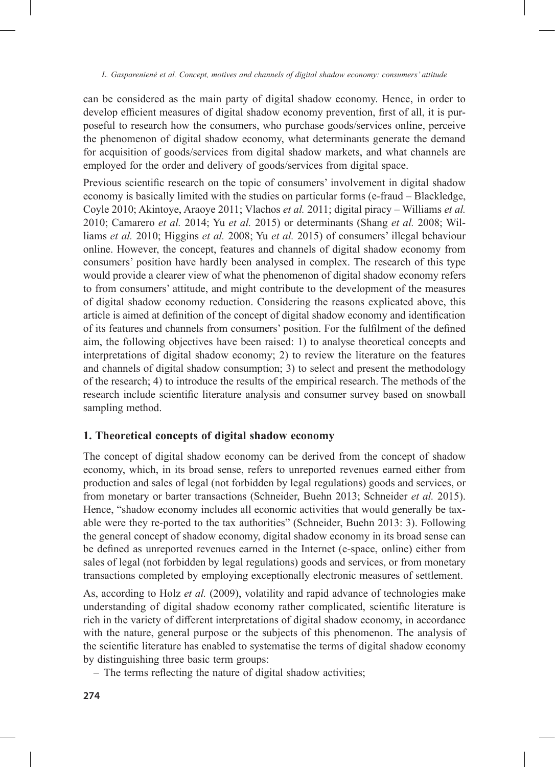can be considered as the main party of digital shadow economy. Hence, in order to develop efficient measures of digital shadow economy prevention, first of all, it is purposeful to research how the consumers, who purchase goods/services online, perceive the phenomenon of digital shadow economy, what determinants generate the demand for acquisition of goods/services from digital shadow markets, and what channels are employed for the order and delivery of goods/services from digital space.

Previous scientific research on the topic of consumers' involvement in digital shadow economy is basically limited with the studies on particular forms (e-fraud – Blackledge, Coyle 2010; Akintoye, Araoye 2011; Vlachos *et al.* 2011; digital piracy – Williams *et al.*  2010; Camarero *et al.* 2014; Yu *et al.* 2015) or determinants (Shang *et al.* 2008; Williams *et al.* 2010; Higgins *et al.* 2008; Yu *et al.* 2015) of consumers' illegal behaviour online. However, the concept, features and channels of digital shadow economy from consumers' position have hardly been analysed in complex. The research of this type would provide a clearer view of what the phenomenon of digital shadow economy refers to from consumers' attitude, and might contribute to the development of the measures of digital shadow economy reduction. Considering the reasons explicated above, this article is aimed at definition of the concept of digital shadow economy and identification of its features and channels from consumers' position. For the fulfilment of the defined aim, the following objectives have been raised: 1) to analyse theoretical concepts and interpretations of digital shadow economy; 2) to review the literature on the features and channels of digital shadow consumption; 3) to select and present the methodology of the research; 4) to introduce the results of the empirical research. The methods of the research include scientific literature analysis and consumer survey based on snowball sampling method.

#### **1. Theoretical concepts of digital shadow economy**

The concept of digital shadow economy can be derived from the concept of shadow economy, which, in its broad sense, refers to unreported revenues earned either from production and sales of legal (not forbidden by legal regulations) goods and services, or from monetary or barter transactions (Schneider, Buehn 2013; Schneider *et al.* 2015). Hence, "shadow economy includes all economic activities that would generally be taxable were they re-ported to the tax authorities" (Schneider, Buehn 2013: 3). Following the general concept of shadow economy, digital shadow economy in its broad sense can be defined as unreported revenues earned in the Internet (e-space, online) either from sales of legal (not forbidden by legal regulations) goods and services, or from monetary transactions completed by employing exceptionally electronic measures of settlement.

As, according to Holz *et al.* (2009), volatility and rapid advance of technologies make understanding of digital shadow economy rather complicated, scientific literature is rich in the variety of different interpretations of digital shadow economy, in accordance with the nature, general purpose or the subjects of this phenomenon. The analysis of the scientific literature has enabled to systematise the terms of digital shadow economy by distinguishing three basic term groups:

– The terms reflecting the nature of digital shadow activities;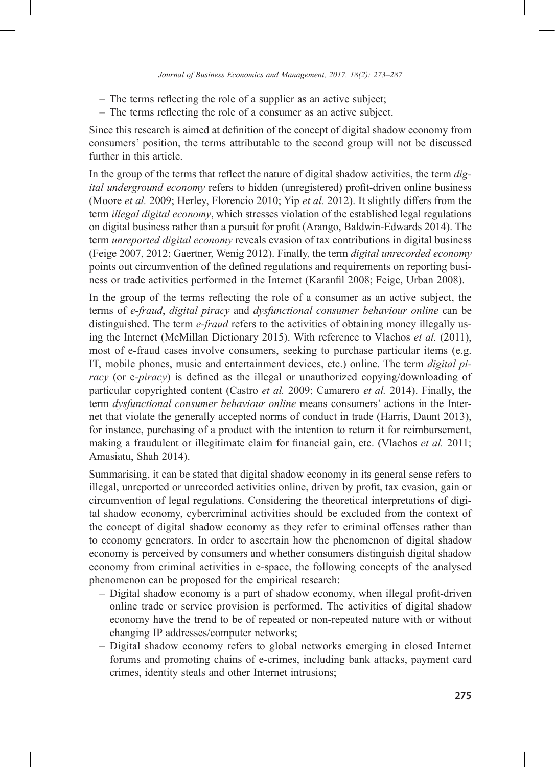- The terms reflecting the role of a supplier as an active subject;
- The terms reflecting the role of a consumer as an active subject.

Since this research is aimed at definition of the concept of digital shadow economy from consumers' position, the terms attributable to the second group will not be discussed further in this article.

In the group of the terms that reflect the nature of digital shadow activities, the term *digital underground economy* refers to hidden (unregistered) profit-driven online business (Moore *et al.* 2009; Herley, Florencio 2010; Yip *et al.* 2012). It slightly differs from the term *illegal digital economy*, which stresses violation of the established legal regulations on digital business rather than a pursuit for profit (Arango, Baldwin-Edwards 2014). The term *unreported digital economy* reveals evasion of tax contributions in digital business (Feige 2007, 2012; Gaertner, Wenig 2012). Finally, the term *digital unrecorded economy* points out circumvention of the defined regulations and requirements on reporting business or trade activities performed in the Internet (Karanfil 2008; Feige, Urban 2008).

In the group of the terms reflecting the role of a consumer as an active subject, the terms of *e-fraud*, *digital piracy* and *dysfunctional consumer behaviour online* can be distinguished. The term *e-fraud* refers to the activities of obtaining money illegally using the Internet (McMillan Dictionary 2015). With reference to Vlachos *et al.* (2011), most of e-fraud cases involve consumers, seeking to purchase particular items (e.g. IT, mobile phones, music and entertainment devices, etc.) online. The term *digital piracy* (or e*-piracy*) is defined as the illegal or unauthorized copying/downloading of particular copyrighted content (Castro *et al.* 2009; Camarero *et al.* 2014). Finally, the term *dysfunctional consumer behaviour online* means consumers' actions in the Internet that violate the generally accepted norms of conduct in trade (Harris, Daunt 2013), for instance, purchasing of a product with the intention to return it for reimbursement, making a fraudulent or illegitimate claim for financial gain, etc. (Vlachos *et al.* 2011; Amasiatu, Shah 2014).

Summarising, it can be stated that digital shadow economy in its general sense refers to illegal, unreported or unrecorded activities online, driven by profit, tax evasion, gain or circumvention of legal regulations. Considering the theoretical interpretations of digital shadow economy, cybercriminal activities should be excluded from the context of the concept of digital shadow economy as they refer to criminal offenses rather than to economy generators. In order to ascertain how the phenomenon of digital shadow economy is perceived by consumers and whether consumers distinguish digital shadow economy from criminal activities in e-space, the following concepts of the analysed phenomenon can be proposed for the empirical research:

- Digital shadow economy is a part of shadow economy, when illegal profit-driven online trade or service provision is performed. The activities of digital shadow economy have the trend to be of repeated or non-repeated nature with or without changing IP addresses/computer networks;
- Digital shadow economy refers to global networks emerging in closed Internet forums and promoting chains of e-crimes, including bank attacks, payment card crimes, identity steals and other Internet intrusions;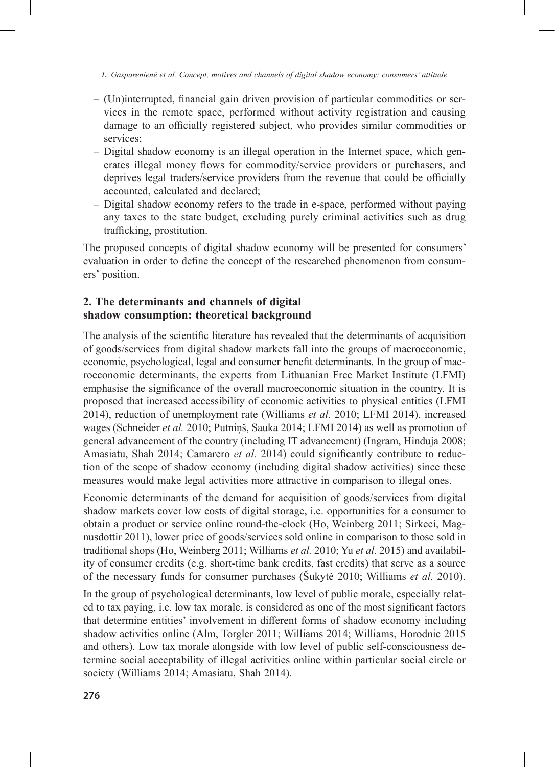- (Un)interrupted, financial gain driven provision of particular commodities or services in the remote space, performed without activity registration and causing damage to an officially registered subject, who provides similar commodities or services;
- Digital shadow economy is an illegal operation in the Internet space, which generates illegal money flows for commodity/service providers or purchasers, and deprives legal traders/service providers from the revenue that could be officially accounted, calculated and declared;
- Digital shadow economy refers to the trade in e-space, performed without paying any taxes to the state budget, excluding purely criminal activities such as drug trafficking, prostitution.

The proposed concepts of digital shadow economy will be presented for consumers' evaluation in order to define the concept of the researched phenomenon from consumers' position.

### **2. The determinants and channels of digital shadow consumption: theoretical background**

The analysis of the scientific literature has revealed that the determinants of acquisition of goods/services from digital shadow markets fall into the groups of macroeconomic, economic, psychological, legal and consumer benefit determinants. In the group of macroeconomic determinants, the experts from Lithuanian Free Market Institute (LFMI) emphasise the significance of the overall macroeconomic situation in the country. It is proposed that increased accessibility of economic activities to physical entities (LFMI 2014), reduction of unemployment rate (Williams *et al.* 2010; LFMI 2014), increased wages (Schneider *et al.* 2010; Putniņš, Sauka 2014; LFMI 2014) as well as promotion of general advancement of the country (including IT advancement) (Ingram, Hinduja 2008; Amasiatu, Shah 2014; Camarero *et al.* 2014) could significantly contribute to reduction of the scope of shadow economy (including digital shadow activities) since these measures would make legal activities more attractive in comparison to illegal ones.

Economic determinants of the demand for acquisition of goods/services from digital shadow markets cover low costs of digital storage, i.e. opportunities for a consumer to obtain a product or service online round-the-clock (Ho, Weinberg 2011; Sirkeci, Magnusdottir 2011), lower price of goods/services sold online in comparison to those sold in traditional shops (Ho, Weinberg 2011; Williams *et al.* 2010; Yu *et al.* 2015) and availability of consumer credits (e.g. short-time bank credits, fast credits) that serve as a source of the necessary funds for consumer purchases (Šukytė 2010; Williams *et al.* 2010).

In the group of psychological determinants, low level of public morale, especially related to tax paying, i.e. low tax morale, is considered as one of the most significant factors that determine entities' involvement in different forms of shadow economy including shadow activities online (Alm, Torgler 2011; Williams 2014; Williams, Horodnic 2015 and others). Low tax morale alongside with low level of public self-consciousness determine social acceptability of illegal activities online within particular social circle or society (Williams 2014; Amasiatu, Shah 2014).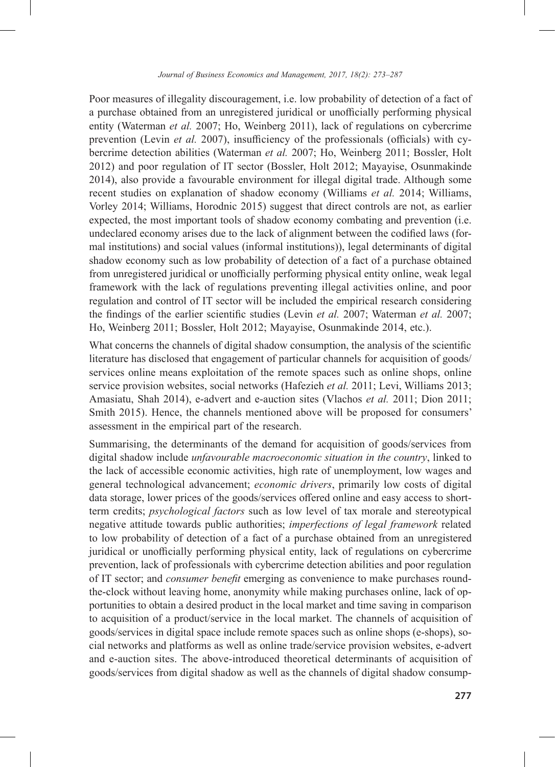Poor measures of illegality discouragement, i.e. low probability of detection of a fact of a purchase obtained from an unregistered juridical or unofficially performing physical entity (Waterman *et al.* 2007; Ho, Weinberg 2011), lack of regulations on cybercrime prevention (Levin *et al.* 2007), insufficiency of the professionals (officials) with cybercrime detection abilities (Waterman *et al.* 2007; Ho, Weinberg 2011; Bossler, Holt 2012) and poor regulation of IT sector (Bossler, Holt 2012; Mayayise, Osunmakinde 2014), also provide a favourable environment for illegal digital trade. Although some recent studies on explanation of shadow economy (Williams *et al.* 2014; Williams, Vorley 2014; Williams, Horodnic 2015) suggest that direct controls are not, as earlier expected, the most important tools of shadow economy combating and prevention (i.e. undeclared economy arises due to the lack of alignment between the codified laws (formal institutions) and social values (informal institutions)), legal determinants of digital shadow economy such as low probability of detection of a fact of a purchase obtained from unregistered juridical or unofficially performing physical entity online, weak legal framework with the lack of regulations preventing illegal activities online, and poor regulation and control of IT sector will be included the empirical research considering the findings of the earlier scientific studies (Levin *et al.* 2007; Waterman *et al.* 2007; Ho, Weinberg 2011; Bossler, Holt 2012; Mayayise, Osunmakinde 2014, etc.).

What concerns the channels of digital shadow consumption, the analysis of the scientific literature has disclosed that engagement of particular channels for acquisition of goods/ services online means exploitation of the remote spaces such as online shops, online service provision websites, social networks (Hafezieh *et al.* 2011; Levi, Williams 2013; Amasiatu, Shah 2014), e-advert and e-auction sites (Vlachos *et al.* 2011; Dion 2011; Smith 2015). Hence, the channels mentioned above will be proposed for consumers' assessment in the empirical part of the research.

Summarising, the determinants of the demand for acquisition of goods/services from digital shadow include *unfavourable macroeconomic situation in the country*, linked to the lack of accessible economic activities, high rate of unemployment, low wages and general technological advancement; *economic drivers*, primarily low costs of digital data storage, lower prices of the goods/services offered online and easy access to shortterm credits; *psychological factors* such as low level of tax morale and stereotypical negative attitude towards public authorities; *imperfections of legal framework* related to low probability of detection of a fact of a purchase obtained from an unregistered juridical or unofficially performing physical entity, lack of regulations on cybercrime prevention, lack of professionals with cybercrime detection abilities and poor regulation of IT sector; and *consumer benefit* emerging as convenience to make purchases roundthe-clock without leaving home, anonymity while making purchases online, lack of opportunities to obtain a desired product in the local market and time saving in comparison to acquisition of a product/service in the local market. The channels of acquisition of goods/services in digital space include remote spaces such as online shops (e-shops), social networks and platforms as well as online trade/service provision websites, e-advert and e-auction sites. The above-introduced theoretical determinants of acquisition of goods/services from digital shadow as well as the channels of digital shadow consump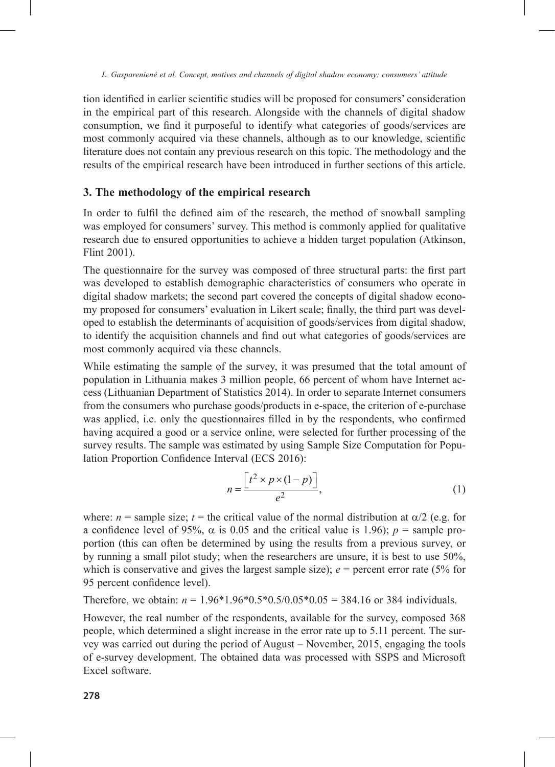tion identified in earlier scientific studies will be proposed for consumers' consideration in the empirical part of this research. Alongside with the channels of digital shadow consumption, we find it purposeful to identify what categories of goods/services are most commonly acquired via these channels, although as to our knowledge, scientific literature does not contain any previous research on this topic. The methodology and the results of the empirical research have been introduced in further sections of this article.

#### **3. The methodology of the empirical research**

In order to fulfil the defined aim of the research, the method of snowball sampling was employed for consumers' survey. This method is commonly applied for qualitative research due to ensured opportunities to achieve a hidden target population (Atkinson, Flint 2001).

The questionnaire for the survey was composed of three structural parts: the first part was developed to establish demographic characteristics of consumers who operate in digital shadow markets; the second part covered the concepts of digital shadow economy proposed for consumers' evaluation in Likert scale; finally, the third part was developed to establish the determinants of acquisition of goods/services from digital shadow, to identify the acquisition channels and find out what categories of goods/services are most commonly acquired via these channels.

While estimating the sample of the survey, it was presumed that the total amount of population in Lithuania makes 3 million people, 66 percent of whom have Internet access (Lithuanian Department of Statistics 2014). In order to separate Internet consumers from the consumers who purchase goods/products in e-space, the criterion of e-purchase was applied, i.e. only the questionnaires filled in by the respondents, who confirmed having acquired a good or a service online, were selected for further processing of the survey results. The sample was estimated by using Sample Size Computation for Population Proportion Confidence Interval (ECS 2016):

$$
n = \frac{\left[t^2 \times p \times (1 - p)\right]}{e^2},\tag{1}
$$

where:  $n =$  sample size;  $t =$  the critical value of the normal distribution at  $\alpha/2$  (e.g. for a confidence level of 95%,  $\alpha$  is 0.05 and the critical value is 1.96);  $p =$  sample proportion (this can often be determined by using the results from a previous survey, or by running a small pilot study; when the researchers are unsure, it is best to use 50%, which is conservative and gives the largest sample size);  $e =$  percent error rate (5% for 95 percent confidence level).

Therefore, we obtain:  $n = 1.96*1.96*0.5*0.5/0.05*0.05 = 384.16$  or 384 individuals.

However, the real number of the respondents, available for the survey, composed 368 people, which determined a slight increase in the error rate up to 5.11 percent. The survey was carried out during the period of August – November, 2015, engaging the tools of e-survey development. The obtained data was processed with SSPS and Microsoft Excel software.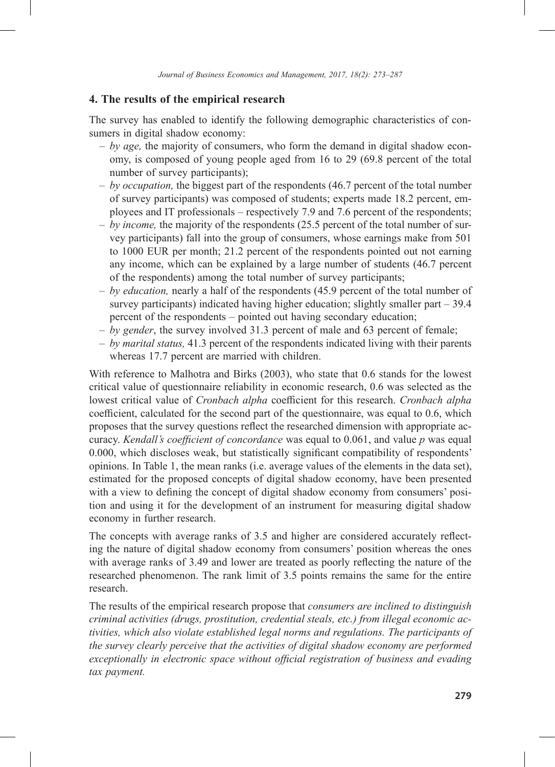# **4. The results of the empirical research**

The survey has enabled to identify the following demographic characteristics of consumers in digital shadow economy:

- *– by age,* the majority of consumers, who form the demand in digital shadow economy, is composed of young people aged from 16 to 29 (69.8 percent of the total number of survey participants);
- *– by occupation,* the biggest part of the respondents (46.7 percent of the total number of survey participants) was composed of students; experts made 18.2 percent, employees and IT professionals – respectively 7.9 and 7.6 percent of the respondents;
- *– by income,* the majority of the respondents (25.5 percent of the total number of survey participants) fall into the group of consumers, whose earnings make from 501 to 1000 EUR per month; 21.2 percent of the respondents pointed out not earning any income, which can be explained by a large number of students (46.7 percent of the respondents) among the total number of survey participants;
- *– by education,* nearly a half of the respondents (45.9 percent of the total number of survey participants) indicated having higher education; slightly smaller part  $-39.4$ percent of the respondents – pointed out having secondary education;
- *– by gender*, the survey involved 31.3 percent of male and 63 percent of female;
- *– by marital status,* 41.3 percent of the respondents indicated living with their parents whereas 17.7 percent are married with children.

With reference to Malhotra and Birks (2003), who state that 0.6 stands for the lowest critical value of questionnaire reliability in economic research, 0.6 was selected as the lowest critical value of *Cronbach alpha* coefficient for this research. *Cronbach alpha* coefficient, calculated for the second part of the questionnaire, was equal to 0.6, which proposes that the survey questions reflect the researched dimension with appropriate accuracy. *Kendall's coefficient of concordance* was equal to 0.061, and value *p* was equal 0.000, which discloses weak, but statistically significant compatibility of respondents' opinions. In Table 1, the mean ranks (i.e. average values of the elements in the data set), estimated for the proposed concepts of digital shadow economy, have been presented with a view to defining the concept of digital shadow economy from consumers' position and using it for the development of an instrument for measuring digital shadow economy in further research.

The concepts with average ranks of 3.5 and higher are considered accurately reflecting the nature of digital shadow economy from consumers' position whereas the ones with average ranks of 3.49 and lower are treated as poorly reflecting the nature of the researched phenomenon. The rank limit of 3.5 points remains the same for the entire research.

The results of the empirical research propose that *consumers are inclined to distinguish criminal activities (drugs, prostitution, credential steals, etc.) from illegal economic activities, which also violate established legal norms and regulations. The participants of the survey clearly perceive that the activities of digital shadow economy are performed exceptionally in electronic space without official registration of business and evading tax payment.*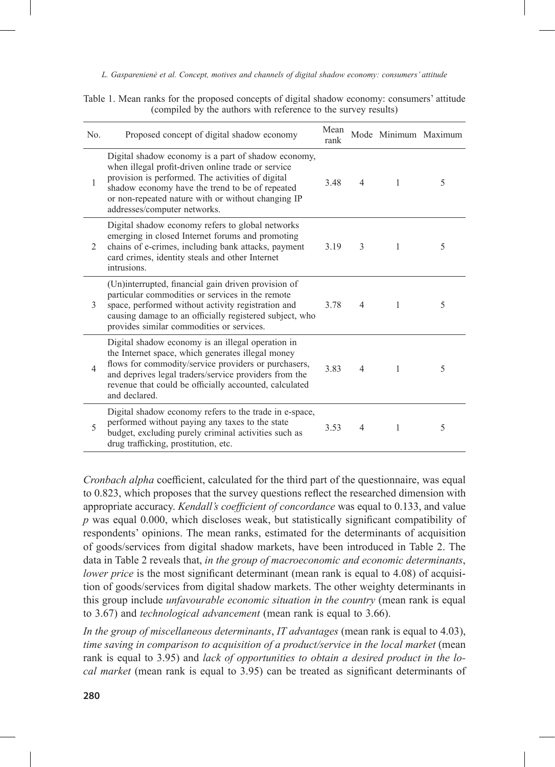| Table 1. Mean ranks for the proposed concepts of digital shadow economy: consumers' attitude |  |
|----------------------------------------------------------------------------------------------|--|
| (compiled by the authors with reference to the survey results)                               |  |

| No.            | Proposed concept of digital shadow economy                                                                                                                                                                                                                                                              | Mean<br>rank |                |              | Mode Minimum Maximum |
|----------------|---------------------------------------------------------------------------------------------------------------------------------------------------------------------------------------------------------------------------------------------------------------------------------------------------------|--------------|----------------|--------------|----------------------|
| 1              | Digital shadow economy is a part of shadow economy,<br>when illegal profit-driven online trade or service<br>provision is performed. The activities of digital<br>shadow economy have the trend to be of repeated<br>or non-repeated nature with or without changing IP<br>addresses/computer networks. | 3.48         | $\overline{4}$ | $\mathbf{1}$ | 5                    |
| 2              | Digital shadow economy refers to global networks<br>emerging in closed Internet forums and promoting<br>chains of e-crimes, including bank attacks, payment<br>card crimes, identity steals and other Internet<br>intrusions.                                                                           | 3.19         | 3              | 1            | 5                    |
| 3              | (Un)interrupted, financial gain driven provision of<br>particular commodities or services in the remote<br>space, performed without activity registration and<br>causing damage to an officially registered subject, who<br>provides similar commodities or services.                                   | 3.78         | $\overline{4}$ | 1            | 5                    |
| $\overline{4}$ | Digital shadow economy is an illegal operation in<br>the Internet space, which generates illegal money<br>flows for commodity/service providers or purchasers,<br>and deprives legal traders/service providers from the<br>revenue that could be officially accounted, calculated<br>and declared.      | 3.83         | $\overline{4}$ | 1            | 5                    |
| 5              | Digital shadow economy refers to the trade in e-space,<br>performed without paying any taxes to the state<br>budget, excluding purely criminal activities such as<br>drug trafficking, prostitution, etc.                                                                                               | 3.53         | $\overline{4}$ | 1            | 5                    |

*Cronbach alpha* coefficient, calculated for the third part of the questionnaire, was equal to 0.823, which proposes that the survey questions reflect the researched dimension with appropriate accuracy. *Kendall's coefficient of concordance* was equal to 0.133, and value *p* was equal 0.000, which discloses weak, but statistically significant compatibility of respondents' opinions. The mean ranks, estimated for the determinants of acquisition of goods/services from digital shadow markets, have been introduced in Table 2. The data in Table 2 reveals that, *in the group of macroeconomic and economic determinants*, *lower price* is the most significant determinant (mean rank is equal to 4.08) of acquisition of goods/services from digital shadow markets. The other weighty determinants in this group include *unfavourable economic situation in the country* (mean rank is equal to 3.67) and *technological advancement* (mean rank is equal to 3.66).

*In the group of miscellaneous determinants*, *IT advantages* (mean rank is equal to 4.03), *time saving in comparison to acquisition of a product/service in the local market* (mean rank is equal to 3.95) and *lack of opportunities to obtain a desired product in the local market* (mean rank is equal to 3.95) can be treated as significant determinants of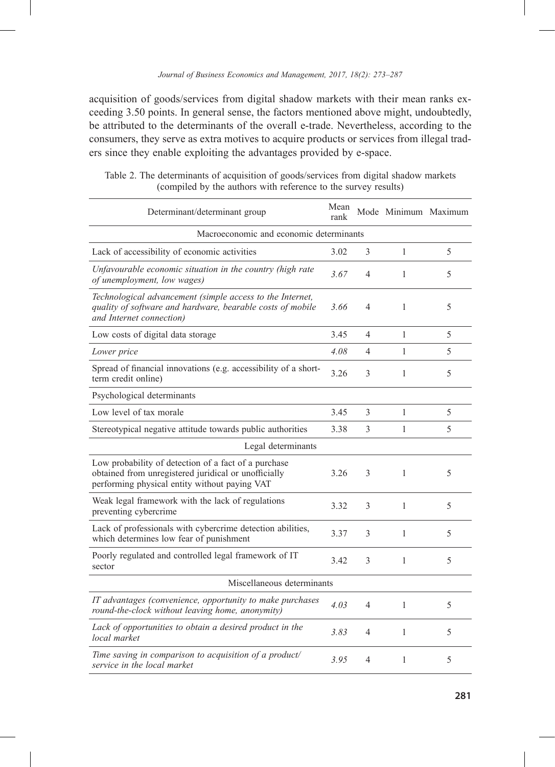acquisition of goods/services from digital shadow markets with their mean ranks exceeding 3.50 points. In general sense, the factors mentioned above might, undoubtedly, be attributed to the determinants of the overall e-trade. Nevertheless, according to the consumers, they serve as extra motives to acquire products or services from illegal traders since they enable exploiting the advantages provided by e-space.

| Determinant/determinant group                                                                                                                                 | Mean<br>rank |                |   | Mode Minimum Maximum |  |  |  |
|---------------------------------------------------------------------------------------------------------------------------------------------------------------|--------------|----------------|---|----------------------|--|--|--|
| Macroeconomic and economic determinants                                                                                                                       |              |                |   |                      |  |  |  |
| Lack of accessibility of economic activities                                                                                                                  | 3.02         | 3              | 1 | 5                    |  |  |  |
| Unfavourable economic situation in the country (high rate<br>of unemployment, low wages)                                                                      | 3.67         | $\overline{4}$ | 1 | 5                    |  |  |  |
| Technological advancement (simple access to the Internet,<br>quality of software and hardware, bearable costs of mobile<br>and Internet connection)           | 3.66         | 4              | 1 | 5                    |  |  |  |
| Low costs of digital data storage                                                                                                                             | 3.45         | $\overline{4}$ | 1 | 5                    |  |  |  |
| Lower price                                                                                                                                                   | 4.08         | 4              | 1 | 5                    |  |  |  |
| Spread of financial innovations (e.g. accessibility of a short-<br>term credit online)                                                                        | 3.26         | 3              | 1 | 5                    |  |  |  |
| Psychological determinants                                                                                                                                    |              |                |   |                      |  |  |  |
| Low level of tax morale                                                                                                                                       | 3.45         | 3              | 1 | 5                    |  |  |  |
| Stereotypical negative attitude towards public authorities                                                                                                    | 3.38         | 3              | 1 | 5                    |  |  |  |
| Legal determinants                                                                                                                                            |              |                |   |                      |  |  |  |
| Low probability of detection of a fact of a purchase<br>obtained from unregistered juridical or unofficially<br>performing physical entity without paying VAT | 3.26         | 3              | 1 | 5                    |  |  |  |
| Weak legal framework with the lack of regulations<br>preventing cybercrime                                                                                    | 3.32         | 3              | 1 | 5                    |  |  |  |
| Lack of professionals with cybercrime detection abilities,<br>which determines low fear of punishment                                                         | 3.37         | 3              | 1 | 5                    |  |  |  |
| Poorly regulated and controlled legal framework of IT<br>sector                                                                                               | 3.42         | 3              | 1 | 5                    |  |  |  |
| Miscellaneous determinants                                                                                                                                    |              |                |   |                      |  |  |  |
| IT advantages (convenience, opportunity to make purchases<br>round-the-clock without leaving home, anonymity)                                                 | 4.03         | $\overline{4}$ | 1 | 5                    |  |  |  |
| Lack of opportunities to obtain a desired product in the<br>local market                                                                                      | 3.83         | $\overline{4}$ | 1 | 5                    |  |  |  |
| Time saving in comparison to acquisition of a product/<br>service in the local market                                                                         | 3.95         | $\overline{4}$ | 1 | 5                    |  |  |  |

Table 2. The determinants of acquisition of goods/services from digital shadow markets (compiled by the authors with reference to the survey results)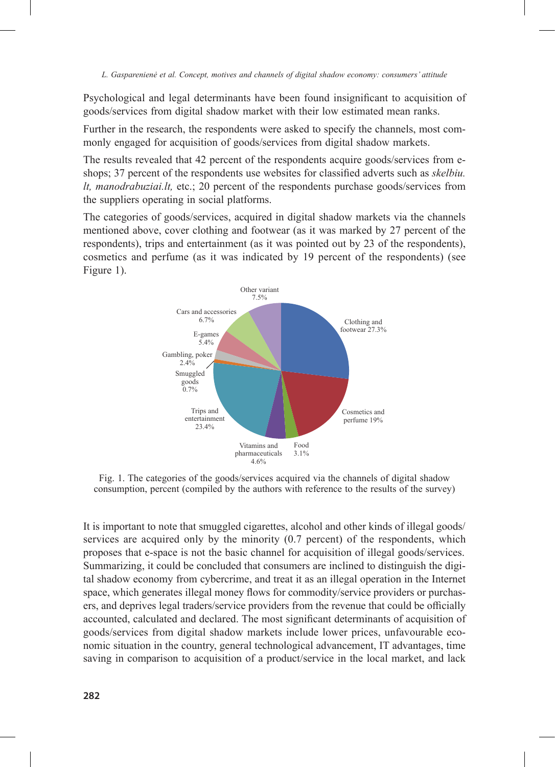Psychological and legal determinants have been found insignificant to acquisition of goods/services from digital shadow market with their low estimated mean ranks.

Further in the research, the respondents were asked to specify the channels, most commonly engaged for acquisition of goods/services from digital shadow markets.

The results revealed that 42 percent of the respondents acquire goods/services from eshops; 37 percent of the respondents use websites for classified adverts such as *skelbiu. lt, manodrabuziai.lt,* etc.; 20 percent of the respondents purchase goods/services from the suppliers operating in social platforms.

The categories of goods/services, acquired in digital shadow markets via the channels mentioned above, cover clothing and footwear (as it was marked by 27 percent of the respondents), trips and entertainment (as it was pointed out by 23 of the respondents), cosmetics and perfume (as it was indicated by 19 percent of the respondents) (see Figure 1).



Fig. 1. The categories of the goods/services acquired via the channels of digital shadow consumption, percent (compiled by the authors with reference to the results of the survey)

It is important to note that smuggled cigarettes, alcohol and other kinds of illegal goods/ services are acquired only by the minority (0.7 percent) of the respondents, which proposes that e-space is not the basic channel for acquisition of illegal goods/services. Summarizing, it could be concluded that consumers are inclined to distinguish the digital shadow economy from cybercrime, and treat it as an illegal operation in the Internet space, which generates illegal money flows for commodity/service providers or purchasers, and deprives legal traders/service providers from the revenue that could be officially accounted, calculated and declared. The most significant determinants of acquisition of goods/services from digital shadow markets include lower prices, unfavourable economic situation in the country, general technological advancement, IT advantages, time saving in comparison to acquisition of a product/service in the local market, and lack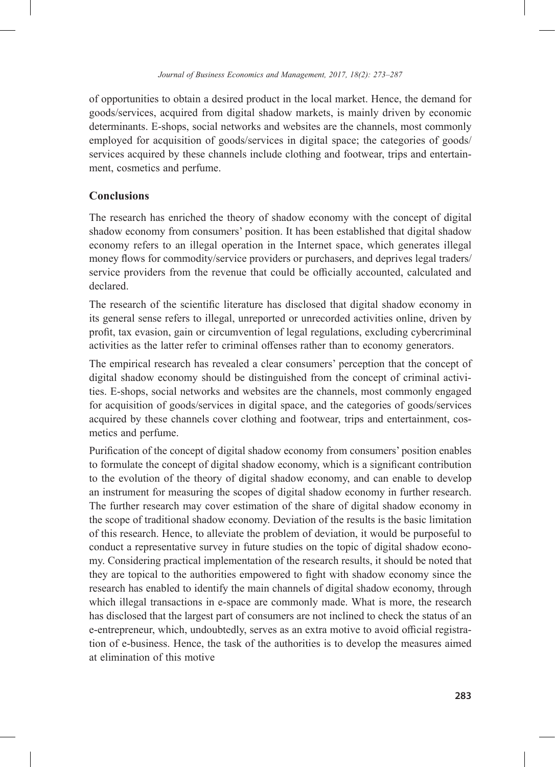of opportunities to obtain a desired product in the local market. Hence, the demand for goods/services, acquired from digital shadow markets, is mainly driven by economic determinants. E-shops, social networks and websites are the channels, most commonly employed for acquisition of goods/services in digital space; the categories of goods/ services acquired by these channels include clothing and footwear, trips and entertainment, cosmetics and perfume.

### **Conclusions**

The research has enriched the theory of shadow economy with the concept of digital shadow economy from consumers' position. It has been established that digital shadow economy refers to an illegal operation in the Internet space, which generates illegal money flows for commodity/service providers or purchasers, and deprives legal traders/ service providers from the revenue that could be officially accounted, calculated and declared.

The research of the scientific literature has disclosed that digital shadow economy in its general sense refers to illegal, unreported or unrecorded activities online, driven by profit, tax evasion, gain or circumvention of legal regulations, excluding cybercriminal activities as the latter refer to criminal offenses rather than to economy generators.

The empirical research has revealed a clear consumers' perception that the concept of digital shadow economy should be distinguished from the concept of criminal activities. E-shops, social networks and websites are the channels, most commonly engaged for acquisition of goods/services in digital space, and the categories of goods/services acquired by these channels cover clothing and footwear, trips and entertainment, cosmetics and perfume.

Purification of the concept of digital shadow economy from consumers' position enables to formulate the concept of digital shadow economy, which is a significant contribution to the evolution of the theory of digital shadow economy, and can enable to develop an instrument for measuring the scopes of digital shadow economy in further research. The further research may cover estimation of the share of digital shadow economy in the scope of traditional shadow economy. Deviation of the results is the basic limitation of this research. Hence, to alleviate the problem of deviation, it would be purposeful to conduct a representative survey in future studies on the topic of digital shadow economy. Considering practical implementation of the research results, it should be noted that they are topical to the authorities empowered to fight with shadow economy since the research has enabled to identify the main channels of digital shadow economy, through which illegal transactions in e-space are commonly made. What is more, the research has disclosed that the largest part of consumers are not inclined to check the status of an e-entrepreneur, which, undoubtedly, serves as an extra motive to avoid official registration of e-business. Hence, the task of the authorities is to develop the measures aimed at elimination of this motive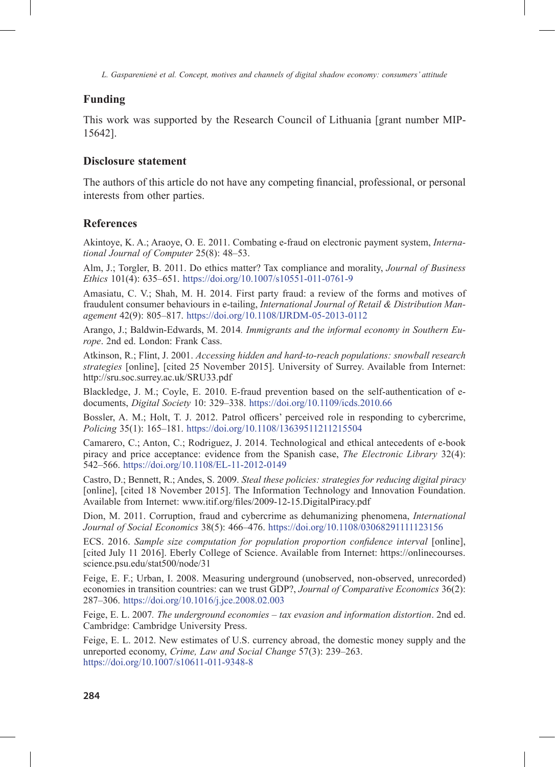# **Funding**

This work was supported by the Research Council of Lithuania [grant number MIP-15642].

#### **Disclosure statement**

The authors of this article do not have any competing financial, professional, or personal interests from other parties.

# **References**

Akintoye, K. A.; Araoye, O. E. 2011. Combating e-fraud on electronic payment system, *International Journal of Computer* 25(8): 48–53.

Alm, J.; Torgler, B. 2011. Do ethics matter? Tax compliance and morality, *Journal of Business Ethics* 101(4): 635–651. https://doi.org/10.1007/s10551-011-0761-9

Amasiatu, C. V.; Shah, M. H. 2014. First party fraud: a review of the forms and motives of fraudulent consumer behaviours in e-tailing, *International Journal of Retail & Distribution Management* 42(9): 805–817. https://doi.org/10.1108/IJRDM-05-2013-0112

Arango, J.; Baldwin-Edwards, M. 2014*. Immigrants and the informal economy in Southern Europe*. 2nd ed. London: Frank Cass.

Atkinson, R.; Flint, J. 2001. *Accessing hidden and hard-to-reach populations: snowball research strategies* [online], [cited 25 November 2015]. University of Surrey. Available from Internet: http://sru.soc.surrey.ac.uk/SRU33.pdf

Blackledge, J. M.; Coyle, E. 2010. E-fraud prevention based on the self-authentication of edocuments, *Digital Society* 10: 329–338. https://doi.org/10.1109/icds.2010.66

Bossler, A. M.; Holt, T. J. 2012. Patrol officers' perceived role in responding to cybercrime, *Policing* 35(1): 165–181. https://doi.org/10.1108/13639511211215504

Camarero, C.; Anton, C.; Rodriguez, J. 2014. Technological and ethical antecedents of e-book piracy and price acceptance: evidence from the Spanish case, *The Electronic Library* 32(4): 542–566. https://doi.org/10.1108/EL-11-2012-0149

Castro, D.; Bennett, R.; Andes, S. 2009. *Steal these policies: strategies for reducing digital piracy*  [online], [cited 18 November 2015]. The Information Technology and Innovation Foundation. Available from Internet: www.itif.org/files/2009-12-15.DigitalPiracy.pdf

Dion, M. 2011. Corruption, fraud and cybercrime as dehumanizing phenomena, *International Journal of Social Economics* 38(5): 466–476. https://doi.org/10.1108/03068291111123156

ECS. 2016. *Sample size computation for population proportion confidence interval* [online], [cited July 11 2016]. Eberly College of Science. Available from Internet: https://onlinecourses. science.psu.edu/stat500/node/31

Feige, E. F.; Urban, I. 2008. Measuring underground (unobserved, non-observed, unrecorded) economies in transition countries: can we trust GDP?, *Journal of Comparative Economics* 36(2): 287–306. https://doi.org/10.1016/j.jce.2008.02.003

Feige, E. L. 2007*. The underground economies – tax evasion and information distortion*. 2nd ed. Cambridge: Cambridge University Press.

Feige, E. L. 2012. New estimates of U.S. currency abroad, the domestic money supply and the unreported economy, *Crime, Law and Social Change* 57(3): 239–263. https://doi.org/10.1007/s10611-011-9348-8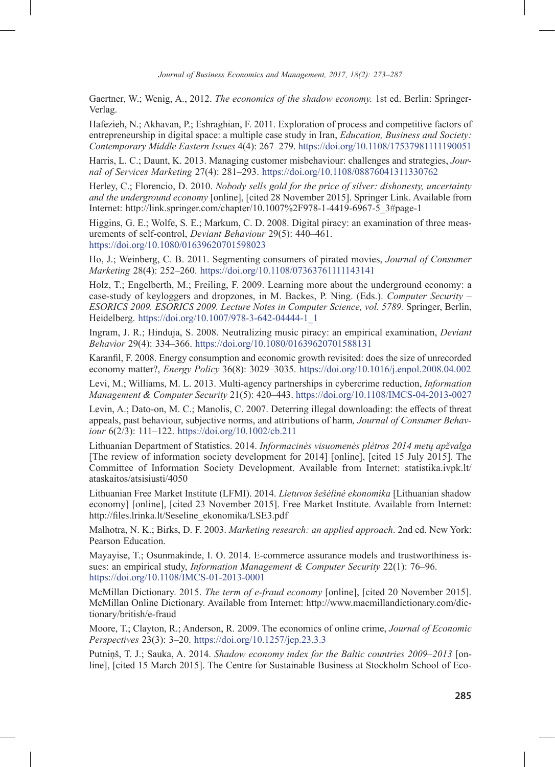Gaertner, W.; Wenig, A., 2012. *The economics of the shadow economy.* 1st ed. Berlin: Springer-Verlag.

Hafezieh, N.; Akhavan, P.; Eshraghian, F. 2011. Exploration of process and competitive factors of entrepreneurship in digital space: a multiple case study in Iran, *Education, Business and Society: Contemporary Middle Eastern Issues* 4(4): 267–279. https://doi.org/10.1108/17537981111190051

Harris, L. C.; Daunt, K. 2013. Managing customer misbehaviour: challenges and strategies, *Journal of Services Marketing* 27(4): 281–293. https://doi.org/10.1108/08876041311330762

Herley, C.; Florencio, D. 2010. *Nobody sells gold for the price of silver: dishonesty, uncertainty and the underground economy* [online], [cited 28 November 2015]. Springer Link. Available from Internet: http://link.springer.com/chapter/10.1007%2F978-1-4419-6967-5\_3#page-1

Higgins, G. E.; Wolfe, S. E.; Markum, C. D. 2008. Digital piracy: an examination of three measurements of self-control, *Deviant Behaviour* 29(5): 440–461. https://doi.org/10.1080/01639620701598023

Ho, J.; Weinberg, C. B. 2011. Segmenting consumers of pirated movies, *Journal of Consumer Marketing* 28(4): 252–260. https://doi.org/10.1108/07363761111143141

Holz, T.; Engelberth, M.; Freiling, F. 2009. Learning more about the underground economy: a case-study of keyloggers and dropzones, in M. Backes, P. Ning. (Eds.). *Computer Security – ESORICS 2009. ESORICS 2009. Lecture Notes in Computer Science, vol. 5789.* Springer, Berlin, Heidelberg. https://doi.org/10.1007/978-3-642-04444-1\_1

Ingram, J. R.; Hinduja, S. 2008. Neutralizing music piracy: an empirical examination, *Deviant Behavior* 29(4): 334–366. https://doi.org/10.1080/01639620701588131

Karanfil, F. 2008. Energy consumption and economic growth revisited: does the size of unrecorded economy matter?, *Energy Policy* 36(8): 3029–3035. https://doi.org/10.1016/j.enpol.2008.04.002

Levi, M.; Williams, M. L. 2013. Multi-agency partnerships in cybercrime reduction, *Information Management & Computer Security* 21(5): 420–443. https://doi.org/10.1108/IMCS-04-2013-0027

Levin, A.; Dato-on, M. C.; Manolis, C. 2007. Deterring illegal downloading: the effects of threat appeals, past behaviour, subjective norms, and attributions of harm*, Journal of Consumer Behaviour* 6(2/3): 111–122. https://doi.org/10.1002/cb.211

Lithuanian Department of Statistics. 2014. *Informacinės visuomenės plėtros 2014 metų apžvalga* [The review of information society development for 2014] [online], [cited 15 July 2015]. The Committee of Information Society Development. Available from Internet: statistika.ivpk.lt/ ataskaitos/atsisiusti/4050

Lithuanian Free Market Institute (LFMI). 2014. *Lietuvos šešėlinė ekonomika* [Lithuanian shadow economy] [online], [cited 23 November 2015]. Free Market Institute. Available from Internet: http://files.lrinka.lt/Seseline\_ekonomika/LSE3.pdf

Malhotra, N. K.; Birks, D. F. 2003. *Marketing research: an applied approach*. 2nd ed. New York: Pearson Education.

Mayayise, T.; Osunmakinde, I. O. 2014. E-commerce assurance models and trustworthiness issues: an empirical study, *Information Management & Computer Security* 22(1): 76–96. https://doi.org/10.1108/IMCS-01-2013-0001

McMillan Dictionary. 2015. *The term of e-fraud economy* [online], [cited 20 November 2015]. McMillan Online Dictionary. Available from Internet: http://www.macmillandictionary.com/dictionary/british/e-fraud

Moore, T.; Clayton, R.; Anderson, R. 2009. The economics of online crime, *Journal of Economic Perspectives* 23(3): 3–20. https://doi.org/10.1257/jep.23.3.3

Putniņš, T. J.; Sauka, A. 2014. *Shadow economy index for the Baltic countries 2009–2013* [online], [cited 15 March 2015]. The Centre for Sustainable Business at Stockholm School of Eco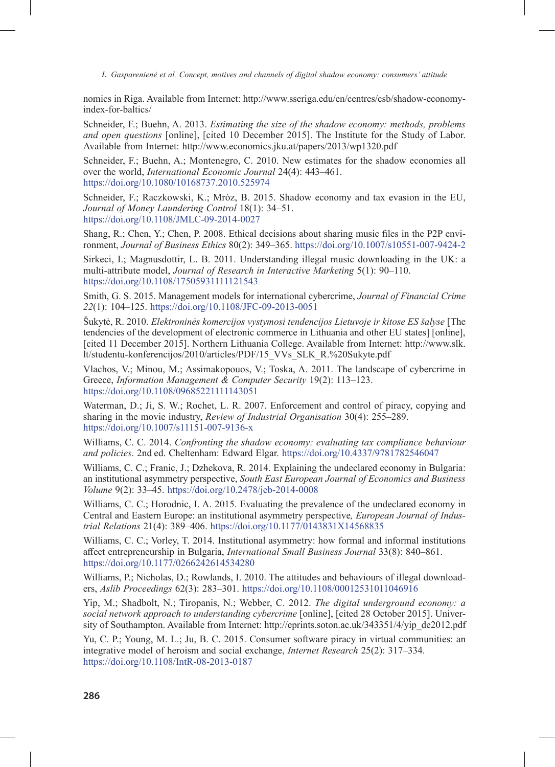nomics in Riga. Available from Internet: http://www.sseriga.edu/en/centres/csb/shadow-economyindex-for-baltics/

Schneider, F.; Buehn, A. 2013. *Estimating the size of the shadow economy: methods, problems and open questions* [online], [cited 10 December 2015]. The Institute for the Study of Labor. Available from Internet: http://www.economics.jku.at/papers/2013/wp1320.pdf

Schneider, F.; Buehn, A.; Montenegro, C. 2010. New estimates for the shadow economies all over the world, *International Economic Journal* 24(4): 443–461. https://doi.org/10.1080/10168737.2010.525974

Schneider, F.; Raczkowski, K.; Mróz, B. 2015. Shadow economy and tax evasion in the EU, *Journal of Money Laundering Control* 18(1): 34–51. https://doi.org/10.1108/JMLC-09-2014-0027

Shang, R.; Chen, Y.; Chen, P. 2008. Ethical decisions about sharing music files in the P2P environment, *Journal of Business Ethics* 80(2): 349–365. https://doi.org/10.1007/s10551-007-9424-2

Sirkeci, I.; Magnusdottir, L. B. 2011. Understanding illegal music downloading in the UK: a multi‐attribute model, *Journal of Research in Interactive Marketing* 5(1): 90–110. https://doi.org/10.1108/17505931111121543

Smith, G. S. 2015. Management models for international cybercrime, *Journal of Financial Crime 22*(1): 104–125. https://doi.org/10.1108/JFC-09-2013-0051

Šukytė, R. 2010. *Elektroninės komercijos vystymosi tendencijos Lietuvoje ir kitose ES šalyse* [The tendencies of the development of electronic commerce in Lithuania and other EU states] [online], [cited 11 December 2015]. Northern Lithuania College. Available from Internet: http://www.slk. lt/studentu-konferencijos/2010/articles/PDF/15\_VVs\_SLK\_R.%20Sukyte.pdf

Vlachos, V.; Minou, M.; Assimakopouos, V.; Toska, A. 2011. The landscape of cybercrime in Greece, *Information Management & Computer Security* 19(2): 113–123. https://doi.org/10.1108/09685221111143051

Waterman, D.; Ji, S. W.; Rochet, L. R. 2007. Enforcement and control of piracy, copying and sharing in the movie industry, *Review of Industrial Organisation* 30(4): 255–289. https://doi.org/10.1007/s11151-007-9136-x

Williams, C. C. 2014. *Confronting the shadow economy: evaluating tax compliance behaviour and policies*. 2nd ed. Cheltenham: Edward Elgar. https://doi.org/10.4337/9781782546047

Williams, C. C.; Franic, J.; Dzhekova, R. 2014. Explaining the undeclared economy in Bulgaria: an institutional asymmetry perspective, *South East European Journal of Economics and Business Volume* 9(2): 33–45. https://doi.org/10.2478/jeb-2014-0008

Williams, C. C.; Horodnic, I. A. 2015. Evaluating the prevalence of the undeclared economy in Central and Eastern Europe: an institutional asymmetry perspective*, European Journal of Industrial Relations* 21(4): 389–406. https://doi.org/10.1177/0143831X14568835

Williams, C. C.; Vorley, T. 2014. Institutional asymmetry: how formal and informal institutions affect entrepreneurship in Bulgaria, *International Small Business Journal* 33(8): 840–861. https://doi.org/10.1177/0266242614534280

Williams, P.; Nicholas, D.; Rowlands, I. 2010. The attitudes and behaviours of illegal downloaders, *Aslib Proceedings* 62(3): 283–301. https://doi.org/10.1108/00012531011046916

Yip, M.; Shadbolt, N.; Tiropanis, N.; Webber, C. 2012. *The digital underground economy: a social network approach to understanding cybercrime* [online], [cited 28 October 2015]. University of Southampton. Available from Internet: http://eprints.soton.ac.uk/343351/4/yip\_de2012.pdf

Yu, C. P.; Young, M. L.; Ju, B. C. 2015. Consumer software piracy in virtual communities: an integrative model of heroism and social exchange, *Internet Research* 25(2): 317–334. https://doi.org/10.1108/IntR-08-2013-0187